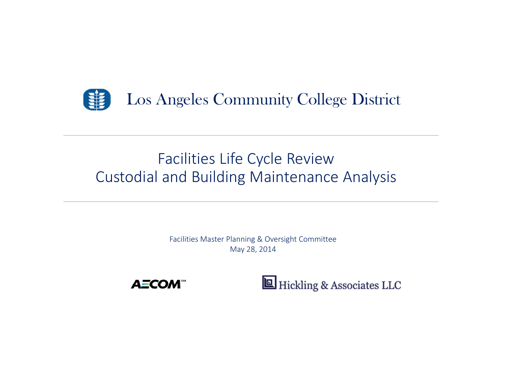

## Facilities Life Cycle Review Custodial and Building Maintenance Analysis

Facilities Master Planning & Oversight Committee May 28, 2014



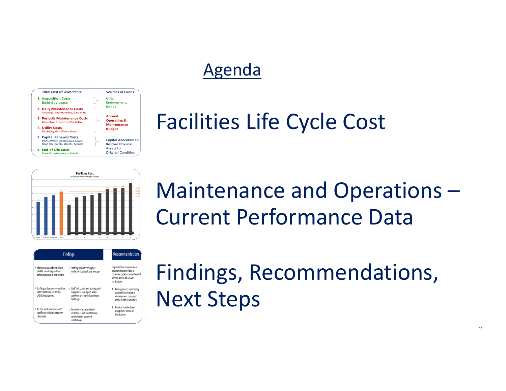## Agenda



# Facilities Life Cycle Cost



# Maintenance and Operations – Current Performance Data



# Findings, Recommendations, Next Steps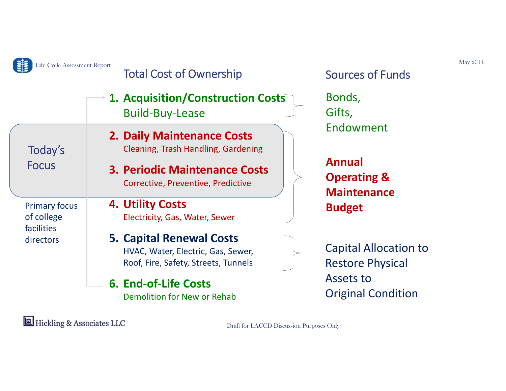

#### Life Cycle Assessment Report **Total Cost of Ownership** Sources of Funds May 2014 Total Cost of Ownership

|                          | $\div$ 1. Acquisition/Construction Costs $\bar{\phantom{\phi}}$<br><b>Build-Buy-Lease</b> |
|--------------------------|-------------------------------------------------------------------------------------------|
| Today's                  | <b>2. Daily Maintenance Costs</b><br>Cleaning, Trash Handling, Gardening                  |
| <b>Focus</b>             | <b>3. Periodic Maintenance Costs</b><br>Corrective, Preventive, Predictive                |
| <b>Primary focus</b>     | <b>4. Utility Costs</b>                                                                   |
| of college<br>facilities | Electricity, Gas, Water, Sewer                                                            |
| directors                | <b>5. Capital Renewal Costs</b>                                                           |
|                          | HVAC, Water, Electric, Gas, Sewer,<br>Roof, Fire, Safety, Streets, Tunnels                |
|                          | <b>6. End-of-Life Costs</b><br>Demolition for New or Rehab                                |

Bonds, Gifts, Endowment

**Annual Operating & Maintenance Budget**

Capital Allocation to Restore Physical Assets to Original Condition

Hickling & Associates LLC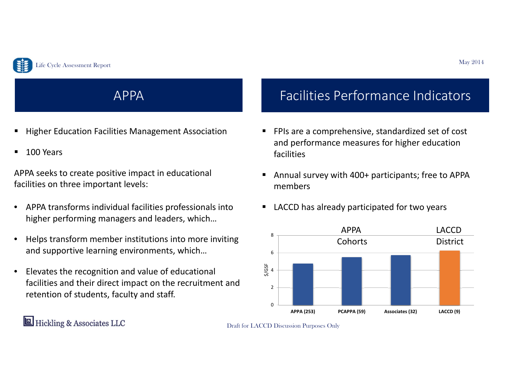

## APPA

- Higher Education Facilities Management Association
- ■ 100 Years

APPA seeks to create positive impact in educational facilities on three important levels:

- $\bullet$  APPA transforms individual facilities professionals into higher performing managers and leaders, which…
- $\bullet$  Helps transform member institutions into more inviting and supportive learning environments, which…
- $\bullet$  Elevates the recognition and value of educational facilities and their direct impact on the recruitment and retention of students, faculty and staff.

Hickling & Associates LLC

## Facilities Performance Indicators

- FPIs are <sup>a</sup> comprehensive, standardized set of cost and performance measures for higher education facilities
- Annual survey with 400+ participants; free to APPA members
- LACCD has already participated for two years

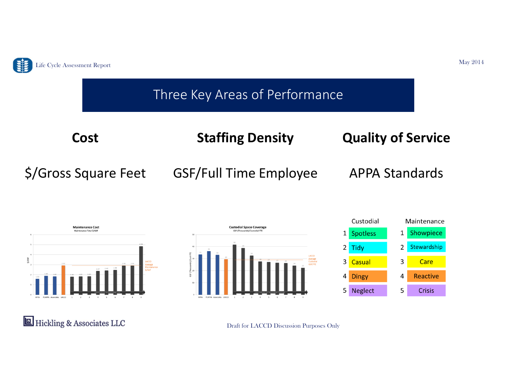







| Custodial |                 | Maintenance |                 |
|-----------|-----------------|-------------|-----------------|
| 1         | <b>Spotless</b> | 1           | Showpiece       |
| 2         | Tidy            | 2           | Stewardship     |
| 3         | <b>Casual</b>   | 3           | Care            |
| 4         | <b>Dingy</b>    | 4           | <b>Reactive</b> |
| 5         | <b>Neglect</b>  | 5           | Crisis          |

Hickling & Associates LLC

Draft for LACCD Discussion Purposes Only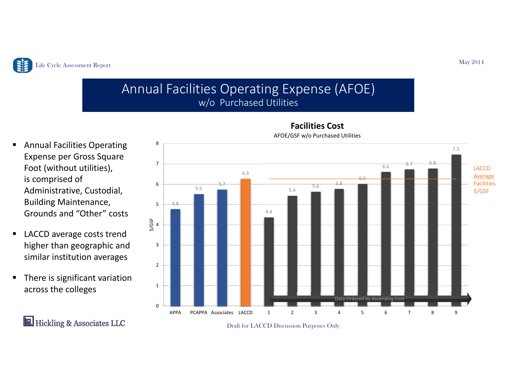

#### Annual Facilities Operating Expense (AFOE) w/o Purchased Utilities

 $\blacksquare$  Annual Facilities Operating Expense per Gross Square Foot (without utilities), is comprised of Administrative, Custodial, Building Maintenance, Grounds and "Other" costs

8

- LACCD average costs trend higher than geographic and similar institution averages
- $\blacksquare$ **There is significant variation** across the colleges

Hickling & Associates LLC



#### **Facilities Cost** AFOE/GSF w/o Purchased Utilities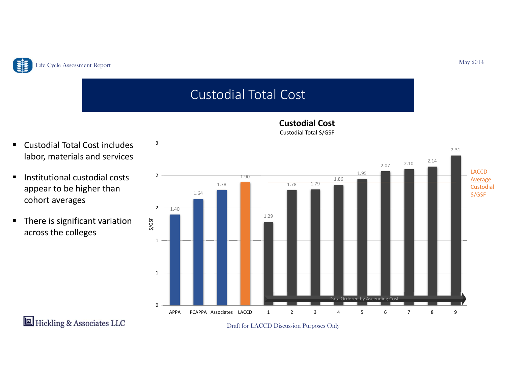

#### Custodial Total Cost

- 1.401.64 1.78 1.90 1.29 1.78 1.79 1.86 1.95 2.07 2.10 2.14 2.31 011 2 2 3 APPA PCAPPA Associates LACCD 1 2 3 4 5 6 7 8 9 \$/GSF **LACCD** Average **Custodial** \$/GSF Data Ordered by Ascending Cost
- **Custodial Cost**Custodial Total \$/GSF
- $\blacksquare$  Custodial Total Cost includes labor, materials and services
- $\blacksquare$  Institutional custodial costs appear to be higher than cohort averages
- $\blacksquare$ **There is significant variation** across the colleges

Hickling & Associates LLC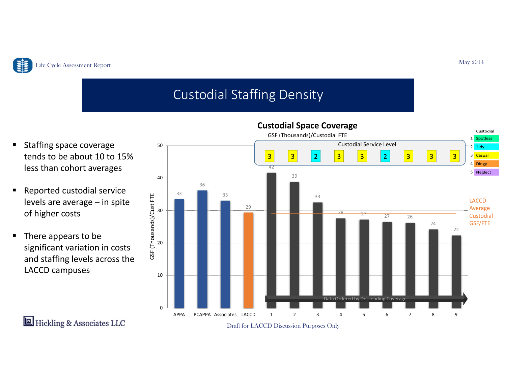

### Custodial Staffing Density

- $\blacksquare$  Staffing space coverage tends to be about 10 to 15%less than cohort averages
- Reported custodial service levels are average – in spite of higher costs
- $\blacksquare$ **There appears to be** significant variation in costs and staffing levels across the LACCD campuses

Hickling & Associates LLC

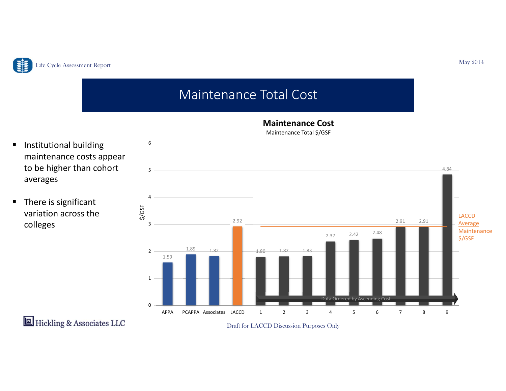

#### Maintenance Total Cost



**Maintenance Cost** Maintenance Total \$/GSF

- **Institutional building** maintenance costs appear to be higher than cohort averages
- $\blacksquare$ ■ There is significant variation across the colleges

Hickling & Associates LLC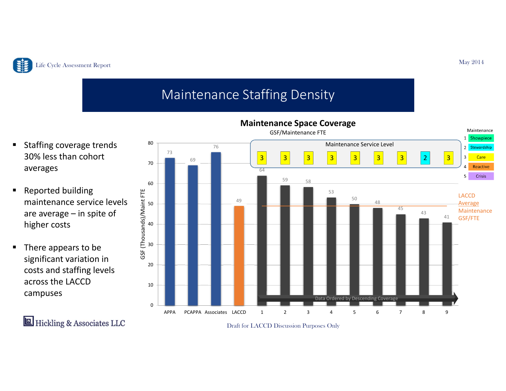

### Maintenance Staffing Density

- $\blacksquare$  Staffing coverage trends 30% less than cohort averages
- Reported building maintenance service levels are average – in spite of higher costs
- $\blacksquare$ **There appears to be** significant variation in costs and staffing levels across the LACCDcampuses

Hickling & Associates LLC

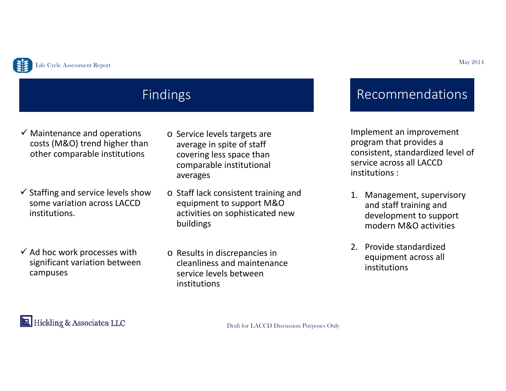

#### Findings

- $\checkmark$  Maintenance and operations costs (M&O) trend higher than other comparable institutions
- $\checkmark$  Staffing and service levels show some variation across LACCDinstitutions.
- $\checkmark$  Ad hoc work processes with significant variation between campuses
- o Service levels targets are average in spite of staff covering less space than comparable institutional averages
- o Staff lack consistent training and equipment to support M&O activities on sophisticated new buildings
- o Results in discrepancies in cleanliness and maintenance service levels betweeninstitutions

#### Recommendations

Implement an improvement program that provides <sup>a</sup> consistent, standardized level of service across all LACCDinstitutions :

- 1. Management, supervisory and staff training and development to support modern M&O activities
- 2. Provide standardizedequipment across all institutions

Hickling & Associates LLC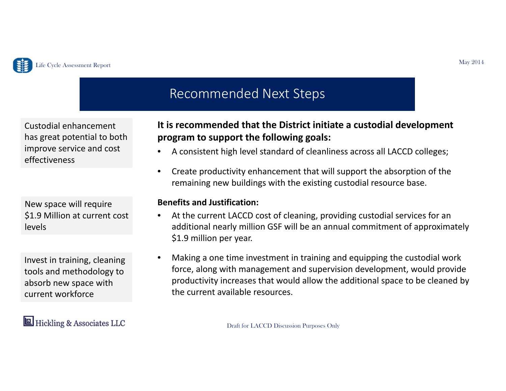

### Recommended Next Steps

Custodial enhancementhas great potential to both improve service and cost effectiveness

New space will require \$1.9 Million at current cost levels

Invest in training, cleaning tools and methodology to absorb new space with current workforce

Hickling & Associates LLC

#### **It is recommended that the District initiate <sup>a</sup> custodial development program to support the following goals:**

- •A consistent high level standard of cleanliness across all LACCD colleges;
- $\bullet$  Create productivity enhancement that will support the absorption of the remaining new buildings with the existing custodial resource base.

#### **Benefits and Justification:**

- • At the current LACCD cost of cleaning, providing custodial services for an additional nearly million GSF will be an annual commitment of approximately \$1.9 million per year.
- • Making <sup>a</sup> one time investment in training and equipping the custodial work force, along with management and supervision development, would provide productivity increases that would allow the additional space to be cleaned by the current available resources.